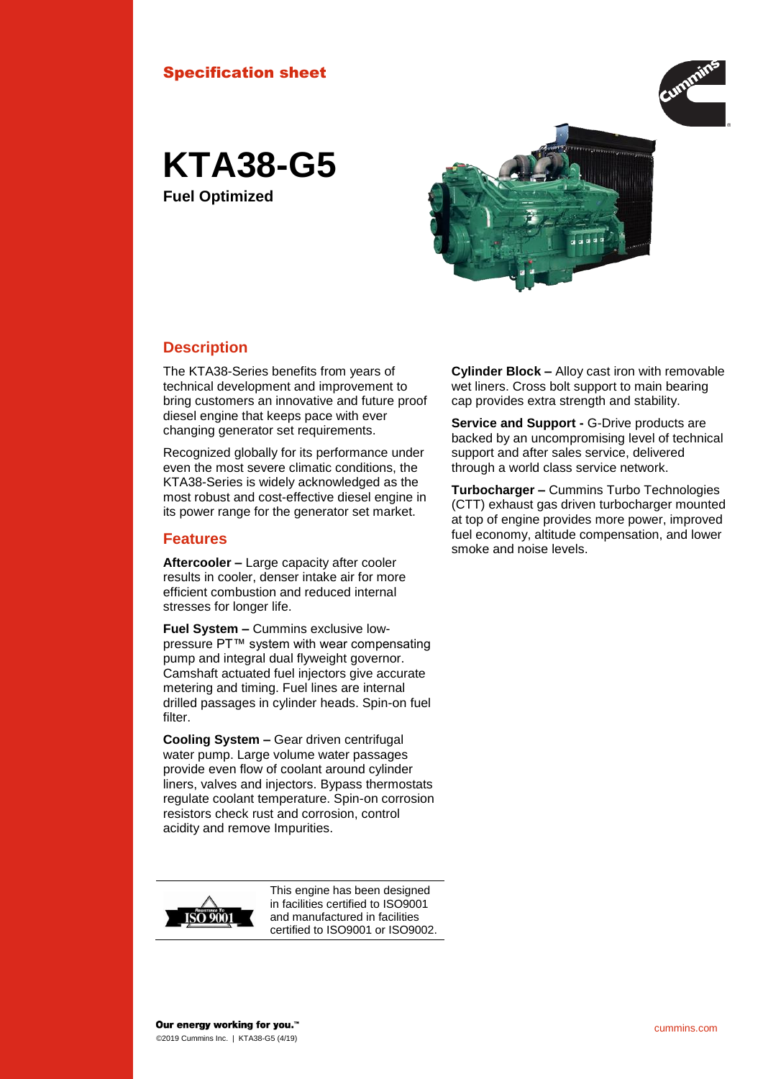#### Specification sheet



**KTA38-G5 Fuel Optimized**



#### **Description**

The KTA38-Series benefits from years of technical development and improvement to bring customers an innovative and future proof diesel engine that keeps pace with ever changing generator set requirements.

Recognized globally for its performance under even the most severe climatic conditions, the KTA38-Series is widely acknowledged as the most robust and cost-effective diesel engine in its power range for the generator set market.

#### **Features**

**Aftercooler –** Large capacity after cooler results in cooler, denser intake air for more efficient combustion and reduced internal stresses for longer life.

**Fuel System –** Cummins exclusive lowpressure PT™ system with wear compensating pump and integral dual flyweight governor. Camshaft actuated fuel injectors give accurate metering and timing. Fuel lines are internal drilled passages in cylinder heads. Spin-on fuel filter.

**Cooling System –** Gear driven centrifugal water pump. Large volume water passages provide even flow of coolant around cylinder liners, valves and injectors. Bypass thermostats regulate coolant temperature. Spin-on corrosion resistors check rust and corrosion, control acidity and remove Impurities.



This engine has been designed in facilities certified to ISO9001 and manufactured in facilities certified to ISO9001 or ISO9002.

**Cylinder Block –** Alloy cast iron with removable wet liners. Cross bolt support to main bearing cap provides extra strength and stability.

**Service and Support -** G-Drive products are backed by an uncompromising level of technical support and after sales service, delivered through a world class service network.

**Turbocharger –** Cummins Turbo Technologies (CTT) exhaust gas driven turbocharger mounted at top of engine provides more power, improved fuel economy, altitude compensation, and lower smoke and noise levels.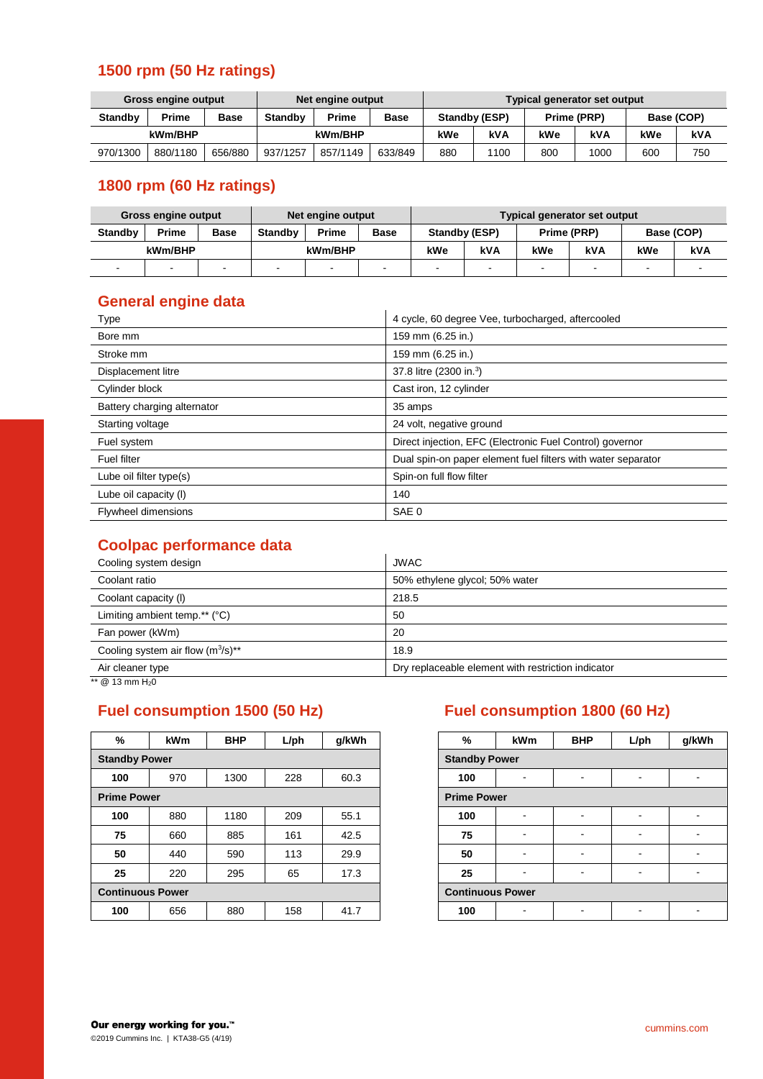## **1500 rpm (50 Hz ratings)**

| <b>Gross engine output</b><br>Net engine output |          |             |                |          | Typical generator set output |               |      |             |      |            |     |
|-------------------------------------------------|----------|-------------|----------------|----------|------------------------------|---------------|------|-------------|------|------------|-----|
| <b>Standby</b>                                  | Prime    | <b>Base</b> | <b>Standby</b> | Prime    | <b>Base</b>                  | Standby (ESP) |      | Prime (PRP) |      | Base (COP) |     |
| kWm/BHP                                         |          |             | kWm/BHP        |          | kWe                          | kVA           | kWe  | <b>kVA</b>  | kWe  | kVA        |     |
| 970/1300                                        | 880/1180 | 656/880     | 937/1257       | 857/1149 | 633/849                      | 880           | 1100 | 800         | 1000 | 600        | 750 |

# **1800 rpm (60 Hz ratings)**

| <b>Gross engine output</b> |       |         |                | Net engine output |                | Typical generator set output |     |             |        |                          |  |
|----------------------------|-------|---------|----------------|-------------------|----------------|------------------------------|-----|-------------|--------|--------------------------|--|
| <b>Standby</b>             | Prime | Base    | <b>Standby</b> | <b>Prime</b>      | <b>Base</b>    | Standby (ESP)                |     | Prime (PRP) |        | Base (COP)               |  |
| kWm/BHP                    |       | kWm/BHP |                | kWe               | kVA            | kWe                          | kVA | kWe         | kVA    |                          |  |
| $\blacksquare$             | . .   |         |                | ٠                 | $\blacksquare$ |                              |     | -           | $\sim$ | $\overline{\phantom{a}}$ |  |

#### **General engine data**

| Type                        | 4 cycle, 60 degree Vee, turbocharged, aftercooled            |  |  |
|-----------------------------|--------------------------------------------------------------|--|--|
| Bore mm                     | 159 mm (6.25 in.)                                            |  |  |
| Stroke mm                   | 159 mm (6.25 in.)                                            |  |  |
| Displacement litre          | 37.8 litre (2300 in. <sup>3</sup> )                          |  |  |
| Cylinder block              | Cast iron, 12 cylinder                                       |  |  |
| Battery charging alternator | 35 amps                                                      |  |  |
| Starting voltage            | 24 volt, negative ground                                     |  |  |
| Fuel system                 | Direct injection, EFC (Electronic Fuel Control) governor     |  |  |
| <b>Fuel filter</b>          | Dual spin-on paper element fuel filters with water separator |  |  |
| Lube oil filter type(s)     | Spin-on full flow filter                                     |  |  |
| Lube oil capacity (I)       | 140                                                          |  |  |
| <b>Flywheel dimensions</b>  | SAE 0                                                        |  |  |

### **Coolpac performance data**

| Cooling system design                  | <b>JWAC</b>                                        |
|----------------------------------------|----------------------------------------------------|
| Coolant ratio                          | 50% ethylene glycol; 50% water                     |
| Coolant capacity (I)                   | 218.5                                              |
| Limiting ambient temp.** $(°C)$        | 50                                                 |
| Fan power (kWm)                        | 20                                                 |
| Cooling system air flow $(m^3/s)^{**}$ | 18.9                                               |
| Air cleaner type                       | Dry replaceable element with restriction indicator |

 $\frac{1}{12}$  mm H<sub>2</sub>0

| %                       | <b>kWm</b> | <b>BHP</b> | $L$ /ph | g/kWh |
|-------------------------|------------|------------|---------|-------|
| <b>Standby Power</b>    |            |            |         |       |
| 100                     | 970        | 1300       | 228     | 60.3  |
| <b>Prime Power</b>      |            |            |         |       |
| 100                     | 880        | 1180       | 209     | 55.1  |
| 75                      | 660        | 885        | 161     | 42.5  |
| 50                      | 440        | 590        | 113     | 29.9  |
| 25                      | 220        | 295        | 65      | 17.3  |
| <b>Continuous Power</b> |            |            |         |       |
| 100                     | 656        | 880        | 158     | 41.7  |

# **Fuel consumption 1500 (50 Hz) Fuel consumption 1800 (60 Hz)**

| ℅          | <b>kWm</b>            | <b>BHP</b> | $L$ /ph | g/kWh | %                       | <b>kWm</b> | <b>BHP</b> | $L$ /ph |  |
|------------|-----------------------|------------|---------|-------|-------------------------|------------|------------|---------|--|
| ndby Power |                       |            |         |       | <b>Standby Power</b>    |            |            |         |  |
| 00         | 970                   | 1300       | 228     | 60.3  | 100                     |            |            |         |  |
| ne Power   |                       |            |         |       | <b>Prime Power</b>      |            |            |         |  |
| 00         | 880                   | 1180       | 209     | 55.1  | 100                     |            |            |         |  |
| 75         | 660                   | 885        | 161     | 42.5  | 75                      | -          | ۰.         | ۰       |  |
| 50         | 440                   | 590        | 113     | 29.9  | 50                      |            | -          |         |  |
| 25         | 220                   | 295        | 65      | 17.3  | 25                      |            |            |         |  |
|            | <b>itinuous Power</b> |            |         |       | <b>Continuous Power</b> |            |            |         |  |
| 00         | 656                   | 880        | 158     | 41.7  | 100                     |            |            |         |  |
|            |                       |            |         |       |                         |            |            |         |  |